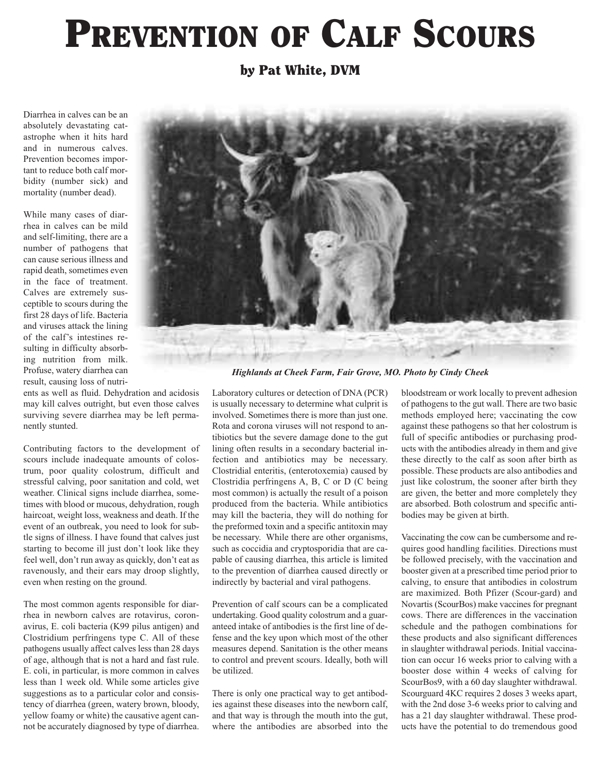## **PREVENTION OF CALF SCOURS**

**by Pat White, DVM**

Diarrhea in calves can be an absolutely devastating catastrophe when it hits hard and in numerous calves. Prevention becomes important to reduce both calf morbidity (number sick) and mortality (number dead).

While many cases of diarrhea in calves can be mild and self-limiting, there are a number of pathogens that can cause serious illness and rapid death, sometimes even in the face of treatment. Calves are extremely susceptible to scours during the first 28 days of life. Bacteria and viruses attack the lining of the calf's intestines resulting in difficulty absorbing nutrition from milk. Profuse, watery diarrhea can result, causing loss of nutri-

ents as well as fluid. Dehydration and acidosis may kill calves outright, but even those calves surviving severe diarrhea may be left permanently stunted.

Contributing factors to the development of scours include inadequate amounts of colostrum, poor quality colostrum, difficult and stressful calving, poor sanitation and cold, wet weather. Clinical signs include diarrhea, sometimes with blood or mucous, dehydration, rough haircoat, weight loss, weakness and death. If the event of an outbreak, you need to look for subtle signs of illness. I have found that calves just starting to become ill just don't look like they feel well, don't run away as quickly, don't eat as ravenously, and their ears may droop slightly, even when resting on the ground.

The most common agents responsible for diarrhea in newborn calves are rotavirus, coronavirus, E. coli bacteria (K99 pilus antigen) and Clostridium perfringens type C. All of these pathogens usually affect calves less than 28 days of age, although that is not a hard and fast rule. E. coli, in particular, is more common in calves less than 1 week old. While some articles give suggestions as to a particular color and consistency of diarrhea (green, watery brown, bloody, yellow foamy or white) the causative agent cannot be accurately diagnosed by type of diarrhea.



*Highlands at Cheek Farm, Fair Grove, MO. Photo by Cindy Cheek*

Laboratory cultures or detection of DNA (PCR) is usually necessary to determine what culprit is involved. Sometimes there is more than just one. Rota and corona viruses will not respond to antibiotics but the severe damage done to the gut lining often results in a secondary bacterial infection and antibiotics may be necessary. Clostridial enteritis, (enterotoxemia) caused by Clostridia perfringens A, B, C or D (C being most common) is actually the result of a poison produced from the bacteria. While antibiotics may kill the bacteria, they will do nothing for the preformed toxin and a specific antitoxin may be necessary. While there are other organisms, such as coccidia and cryptosporidia that are capable of causing diarrhea, this article is limited to the prevention of diarrhea caused directly or indirectly by bacterial and viral pathogens.

Prevention of calf scours can be a complicated undertaking. Good quality colostrum and a guaranteed intake of antibodies is the first line of defense and the key upon which most of the other measures depend. Sanitation is the other means to control and prevent scours. Ideally, both will be utilized.

There is only one practical way to get antibodies against these diseases into the newborn calf, and that way is through the mouth into the gut, where the antibodies are absorbed into the bloodstream or work locally to prevent adhesion of pathogens to the gut wall. There are two basic methods employed here; vaccinating the cow against these pathogens so that her colostrum is full of specific antibodies or purchasing products with the antibodies already in them and give these directly to the calf as soon after birth as possible. These products are also antibodies and just like colostrum, the sooner after birth they are given, the better and more completely they are absorbed. Both colostrum and specific antibodies may be given at birth.

Vaccinating the cow can be cumbersome and requires good handling facilities. Directions must be followed precisely, with the vaccination and booster given at a prescribed time period prior to calving, to ensure that antibodies in colostrum are maximized. Both Pfizer (Scour-gard) and Novartis (ScourBos) make vaccines for pregnant cows. There are differences in the vaccination schedule and the pathogen combinations for these products and also significant differences in slaughter withdrawal periods. Initial vaccination can occur 16 weeks prior to calving with a booster dose within 4 weeks of calving for ScourBos9, with a 60 day slaughter withdrawal. Scourguard 4KC requires 2 doses 3 weeks apart, with the 2nd dose 3-6 weeks prior to calving and has a 21 day slaughter withdrawal. These products have the potential to do tremendous good